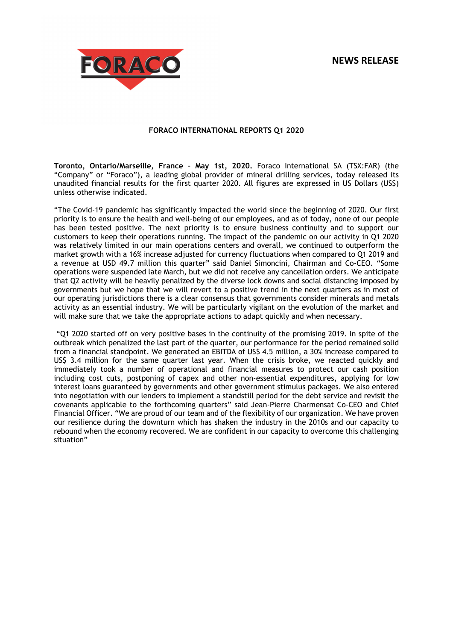# **NEWS RELEASE**



# **FORACO INTERNATIONAL REPORTS Q1 2020**

**Toronto, Ontario/Marseille, France – May 1st, 2020.** Foraco International SA (TSX:FAR) (the "Company" or "Foraco"), a leading global provider of mineral drilling services, today released its unaudited financial results for the first quarter 2020. All figures are expressed in US Dollars (US\$) unless otherwise indicated.

"The Covid-19 pandemic has significantly impacted the world since the beginning of 2020. Our first priority is to ensure the health and well-being of our employees, and as of today, none of our people has been tested positive. The next priority is to ensure business continuity and to support our customers to keep their operations running. The impact of the pandemic on our activity in Q1 2020 was relatively limited in our main operations centers and overall, we continued to outperform the market growth with a 16% increase adjusted for currency fluctuations when compared to Q1 2019 and a revenue at USD 49.7 million this quarter" said Daniel Simoncini, Chairman and Co-CEO. "Some operations were suspended late March, but we did not receive any cancellation orders. We anticipate that Q2 activity will be heavily penalized by the diverse lock downs and social distancing imposed by governments but we hope that we will revert to a positive trend in the next quarters as in most of our operating jurisdictions there is a clear consensus that governments consider minerals and metals activity as an essential industry. We will be particularly vigilant on the evolution of the market and will make sure that we take the appropriate actions to adapt quickly and when necessary.

 "Q1 2020 started off on very positive bases in the continuity of the promising 2019. In spite of the outbreak which penalized the last part of the quarter, our performance for the period remained solid from a financial standpoint. We generated an EBITDA of US\$ 4.5 million, a 30% increase compared to US\$ 3.4 million for the same quarter last year. When the crisis broke, we reacted quickly and immediately took a number of operational and financial measures to protect our cash position including cost cuts, postponing of capex and other non-essential expenditures, applying for low interest loans guaranteed by governments and other government stimulus packages. We also entered into negotiation with our lenders to implement a standstill period for the debt service and revisit the covenants applicable to the forthcoming quarters" said Jean-Pierre Charmensat Co-CEO and Chief Financial Officer. "We are proud of our team and of the flexibility of our organization. We have proven our resilience during the downturn which has shaken the industry in the 2010s and our capacity to rebound when the economy recovered. We are confident in our capacity to overcome this challenging situation"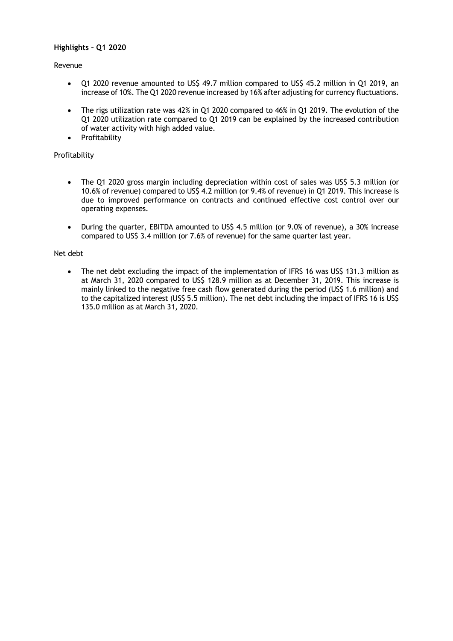# **Highlights – Q1 2020**

# Revenue

- Q1 2020 revenue amounted to US\$ 49.7 million compared to US\$ 45.2 million in Q1 2019, an increase of 10%. The Q1 2020 revenue increased by 16% after adjusting for currency fluctuations.
- The rigs utilization rate was 42% in Q1 2020 compared to 46% in Q1 2019. The evolution of the Q1 2020 utilization rate compared to Q1 2019 can be explained by the increased contribution of water activity with high added value.
- Profitability

# Profitability

- The Q1 2020 gross margin including depreciation within cost of sales was US\$ 5.3 million (or 10.6% of revenue) compared to US\$ 4.2 million (or 9.4% of revenue) in Q1 2019. This increase is due to improved performance on contracts and continued effective cost control over our operating expenses.
- During the quarter, EBITDA amounted to US\$ 4.5 million (or 9.0% of revenue), a 30% increase compared to US\$ 3.4 million (or 7.6% of revenue) for the same quarter last year.

# Net debt

• The net debt excluding the impact of the implementation of IFRS 16 was US\$ 131.3 million as at March 31, 2020 compared to US\$ 128.9 million as at December 31, 2019. This increase is mainly linked to the negative free cash flow generated during the period (US\$ 1.6 million) and to the capitalized interest (US\$ 5.5 million). The net debt including the impact of IFRS 16 is US\$ 135.0 million as at March 31, 2020.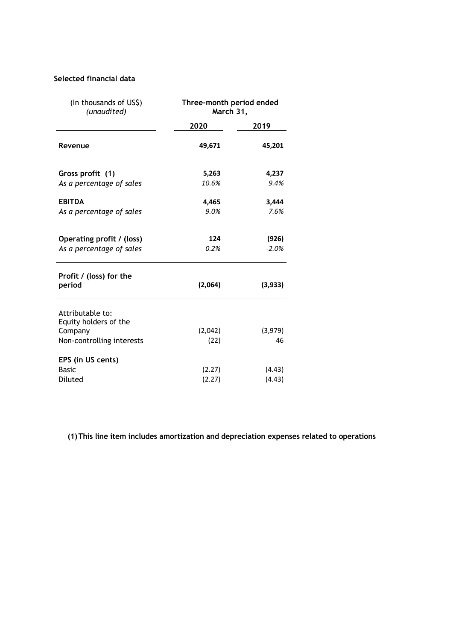# **Selected financial data**

| (In thousands of US\$)<br>(unaudited)                                             | Three-month period ended<br>March 31, |                  |
|-----------------------------------------------------------------------------------|---------------------------------------|------------------|
|                                                                                   | 2020                                  | 2019             |
| Revenue                                                                           | 49,671                                | 45,201           |
| Gross profit (1)<br>As a percentage of sales                                      | 5,263<br>10.6%                        | 4,237<br>9.4%    |
| <b>EBITDA</b><br>As a percentage of sales                                         | 4,465<br>9.0%                         | 3,444<br>7.6%    |
| Operating profit / (loss)<br>As a percentage of sales                             | 124<br>0.2%                           | (926)<br>$-2.0%$ |
| Profit / (loss) for the<br>period                                                 | (2,064)                               | (3,933)          |
| Attributable to:<br>Equity holders of the<br>Company<br>Non-controlling interests | (2,042)<br>(22)                       | (3,979)<br>46    |
| EPS (in US cents)<br><b>Basic</b><br>Diluted                                      | (2.27)<br>(2.27)                      | (4.43)<br>(4.43) |

**(1)This line item includes amortization and depreciation expenses related to operations**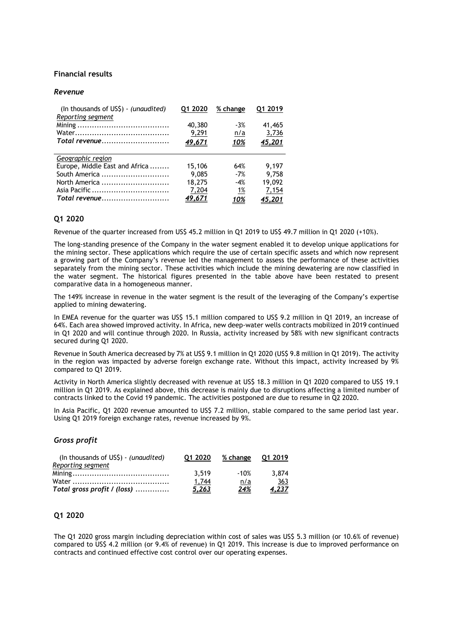## **Financial results**

#### *Revenue*

| (In thousands of US\$) - (unaudited)<br>Reporting segment | 01 2020 | % change   | 01 2019 |  |
|-----------------------------------------------------------|---------|------------|---------|--|
|                                                           | 40,380  | $-3%$      | 41,465  |  |
|                                                           | 9,291   | <u>n/a</u> | 3,736   |  |
| Total revenue                                             | 49,671  | <u>10%</u> | 45,201  |  |
|                                                           |         |            |         |  |
| Geographic region                                         |         |            |         |  |
|                                                           |         |            |         |  |
| Europe, Middle East and Africa                            | 15,106  | 64%        | 9.197   |  |
| South America                                             | 9,085   | $-7%$      | 9.758   |  |
| North America                                             | 18,275  | $-4%$      | 19,092  |  |
|                                                           | 7,204   | <u>1%</u>  | 7,154   |  |

# **Q1 2020**

Revenue of the quarter increased from US\$ 45.2 million in Q1 2019 to US\$ 49.7 million in Q1 2020 (+10%).

The long-standing presence of the Company in the water segment enabled it to develop unique applications for the mining sector. These applications which require the use of certain specific assets and which now represent a growing part of the Company's revenue led the management to assess the performance of these activities separately from the mining sector. These activities which include the mining dewatering are now classified in the water segment. The historical figures presented in the table above have been restated to present comparative data in a homogeneous manner.

The 149% increase in revenue in the water segment is the result of the leveraging of the Company's expertise applied to mining dewatering.

In EMEA revenue for the quarter was US\$ 15.1 million compared to US\$ 9.2 million in Q1 2019, an increase of 64%. Each area showed improved activity. In Africa, new deep-water wells contracts mobilized in 2019 continued in Q1 2020 and will continue through 2020. In Russia, activity increased by 58% with new significant contracts secured during Q1 2020.

Revenue in South America decreased by 7% at US\$ 9.1 million in Q1 2020 (US\$ 9.8 million in Q1 2019). The activity in the region was impacted by adverse foreign exchange rate. Without this impact, activity increased by 9% compared to Q1 2019.

Activity in North America slightly decreased with revenue at US\$ 18.3 million in Q1 2020 compared to US\$ 19.1 million in Q1 2019. As explained above, this decrease is mainly due to disruptions affecting a limited number of contracts linked to the Covid 19 pandemic. The activities postponed are due to resume in Q2 2020.

In Asia Pacific, Q1 2020 revenue amounted to US\$ 7.2 million, stable compared to the same period last year. Using Q1 2019 foreign exchange rates, revenue increased by 9%.

#### *Gross profit*

| (In thousands of US\$) - (unaudited) | 01 2020      | % change    | 01 2019      |  |
|--------------------------------------|--------------|-------------|--------------|--|
| Reporting segment                    |              |             |              |  |
|                                      | 3.519        | -10%        | 3.874        |  |
|                                      | 1.744        | <u>n/a</u>  | 363          |  |
| Total gross profit / (loss)          | <u>5,263</u> | <u> 24%</u> | <u>4,237</u> |  |

# **Q1 2020**

The Q1 2020 gross margin including depreciation within cost of sales was US\$ 5.3 million (or 10.6% of revenue) compared to US\$ 4.2 million (or 9.4% of revenue) in Q1 2019. This increase is due to improved performance on contracts and continued effective cost control over our operating expenses.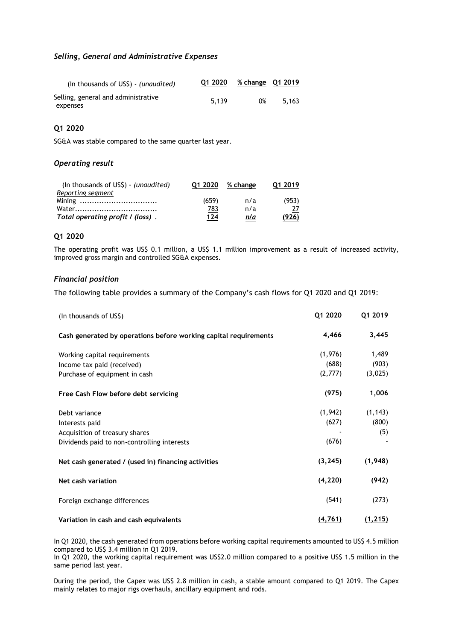### *Selling, General and Administrative Expenses*

| (In thousands of USS) - <i>(unaudited)</i>      | Q1 2020 | % change Q1 2019 |       |
|-------------------------------------------------|---------|------------------|-------|
| Selling, general and administrative<br>expenses | 5.139   | 0%               | 5.163 |

# **Q1 2020**

SG&A was stable compared to the same quarter last year.

# *Operating result*

| (In thousands of $US\$ ) - (unaudited) | 01 2020 | % change   | 01 2019 |  |
|----------------------------------------|---------|------------|---------|--|
| Reporting segment                      |         |            |         |  |
|                                        | (659)   | n/a        | (953)   |  |
|                                        | 783     | n/a        |         |  |
| Total operating profit / (loss).       | 124     | <u>n/a</u> | (926)   |  |

#### **Q1 2020**

The operating profit was US\$ 0.1 million, a US\$ 1.1 million improvement as a result of increased activity, improved gross margin and controlled SG&A expenses.

## *Financial position*

The following table provides a summary of the Company's cash flows for Q1 2020 and Q1 2019:

| (In thousands of US\$)                                           | Q1 2020  | Q1 2019  |
|------------------------------------------------------------------|----------|----------|
| Cash generated by operations before working capital requirements | 4,466    | 3,445    |
| Working capital requirements                                     | (1,976)  | 1,489    |
| Income tax paid (received)                                       | (688)    | (903)    |
| Purchase of equipment in cash                                    | (2,777)  | (3,025)  |
| Free Cash Flow before debt servicing                             | (975)    | 1,006    |
| Debt variance                                                    | (1,942)  | (1, 143) |
| Interests paid                                                   | (627)    | (800)    |
| Acquisition of treasury shares                                   |          | (5)      |
| Dividends paid to non-controlling interests                      | (676)    |          |
| Net cash generated / (used in) financing activities              | (3, 245) | (1,948)  |
| Net cash variation                                               | (4, 220) | (942)    |
| Foreign exchange differences                                     | (541)    | (273)    |
| Variation in cash and cash equivalents                           | (4, 761) | (1, 215) |

In Q1 2020, the cash generated from operations before working capital requirements amounted to US\$ 4.5 million compared to US\$ 3.4 million in Q1 2019.

In Q1 2020, the working capital requirement was US\$2.0 million compared to a positive US\$ 1.5 million in the same period last year.

During the period, the Capex was US\$ 2.8 million in cash, a stable amount compared to Q1 2019. The Capex mainly relates to major rigs overhauls, ancillary equipment and rods.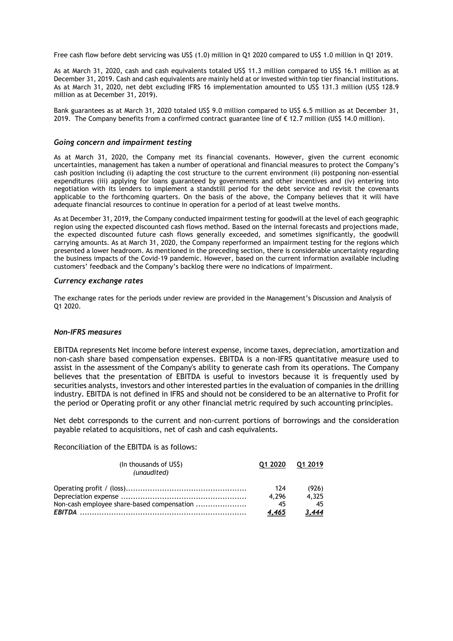Free cash flow before debt servicing was US\$ (1.0) million in Q1 2020 compared to US\$ 1.0 million in Q1 2019.

As at March 31, 2020, cash and cash equivalents totaled US\$ 11.3 million compared to US\$ 16.1 million as at December 31, 2019. Cash and cash equivalents are mainly held at or invested within top tier financial institutions. As at March 31, 2020, net debt excluding IFRS 16 implementation amounted to US\$ 131.3 million (US\$ 128.9 million as at December 31, 2019).

Bank guarantees as at March 31, 2020 totaled US\$ 9.0 million compared to US\$ 6.5 million as at December 31, 2019. The Company benefits from a confirmed contract guarantee line of € 12.7 million (US\$ 14.0 million).

#### *Going concern and impairment testing*

As at March 31, 2020, the Company met its financial covenants. However, given the current economic uncertainties, management has taken a number of operational and financial measures to protect the Company's cash position including (i) adapting the cost structure to the current environment (ii) postponing non-essential expenditures (iii) applying for loans guaranteed by governments and other incentives and (iv) entering into negotiation with its lenders to implement a standstill period for the debt service and revisit the covenants applicable to the forthcoming quarters. On the basis of the above, the Company believes that it will have adequate financial resources to continue in operation for a period of at least twelve months.

As at December 31, 2019, the Company conducted impairment testing for goodwill at the level of each geographic region using the expected discounted cash flows method. Based on the internal forecasts and projections made, the expected discounted future cash flows generally exceeded, and sometimes significantly, the goodwill carrying amounts. As at March 31, 2020, the Company reperformed an impairment testing for the regions which presented a lower headroom. As mentioned in the preceding section, there is considerable uncertainty regarding the business impacts of the Covid-19 pandemic. However, based on the current information available including customers' feedback and the Company's backlog there were no indications of impairment.

#### *Currency exchange rates*

The exchange rates for the periods under review are provided in the Management's Discussion and Analysis of Q1 2020.

#### *Non-IFRS measures*

EBITDA represents Net income before interest expense, income taxes, depreciation, amortization and non-cash share based compensation expenses. EBITDA is a non-IFRS quantitative measure used to assist in the assessment of the Company's ability to generate cash from its operations. The Company believes that the presentation of EBITDA is useful to investors because it is frequently used by securities analysts, investors and other interested parties in the evaluation of companies in the drilling industry. EBITDA is not defined in IFRS and should not be considered to be an alternative to Profit for the period or Operating profit or any other financial metric required by such accounting principles.

Net debt corresponds to the current and non-current portions of borrowings and the consideration payable related to acquisitions, net of cash and cash equivalents.

Reconciliation of the EBITDA is as follows:

| (In thousands of US\$)<br>(unaudited)      | 01 2020 | 01 2019 |
|--------------------------------------------|---------|---------|
|                                            | 174     | (926)   |
|                                            | 4.296   | 4.325   |
| Non-cash employee share-based compensation | 45      |         |
|                                            | 4,465   | 3.444   |